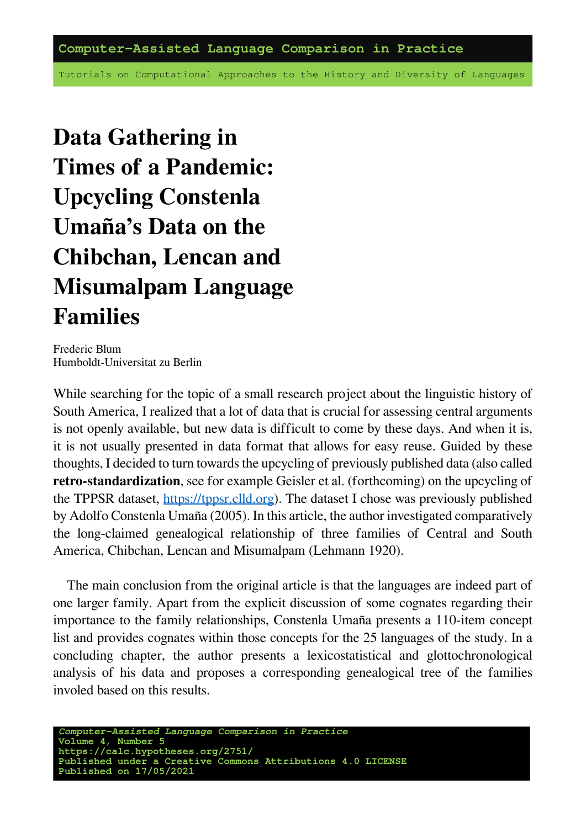**Computer-Assisted Language Comparison in Practice**

Tutorials on Computational Approaches to the History and Diversity of Languages

**Data Gathering in Times of a Pandemic: Upcycling Constenla Umaña's Data on the Chibchan, Lencan and Misumalpam Language Families**

Frederic Blum Humboldt-Universität zu Berlin

While searching for the topic of a small research project about the linguistic history of South America, I realized that a lot of data that is crucial for assessing central arguments is not openly available, but new data is difficult to come by these days. And when it is, it is not usually presented in data format that allows for easy reuse. Guided by these thoughts, I decided to turn towards the upcycling of previously published data (also called **retro-standardization**, see for example Geisler et al. (forthcoming) on the upcycling of the TPPSR dataset, <https://tppsr.clld.org>). The dataset I chose was previously published by Adolfo Constenla Umaña (2005). In this article, the author investigated comparatively the long-claimed genealogical relationship of three families of Central and South America, Chibchan, Lencan and Misumalpam (Lehmann 1920).

The main conclusion from the original article is that the languages are indeed part of one larger family. Apart from the explicit discussion of some cognates regarding their importance to the family relationships, Constenla Umaña presents a 110-item concept list and provides cognates within those concepts for the 25 languages of the study. In a concluding chapter, the author presents a lexicostatistical and glottochronological analysis of his data and proposes a corresponding genealogical tree of the families involed based on this results.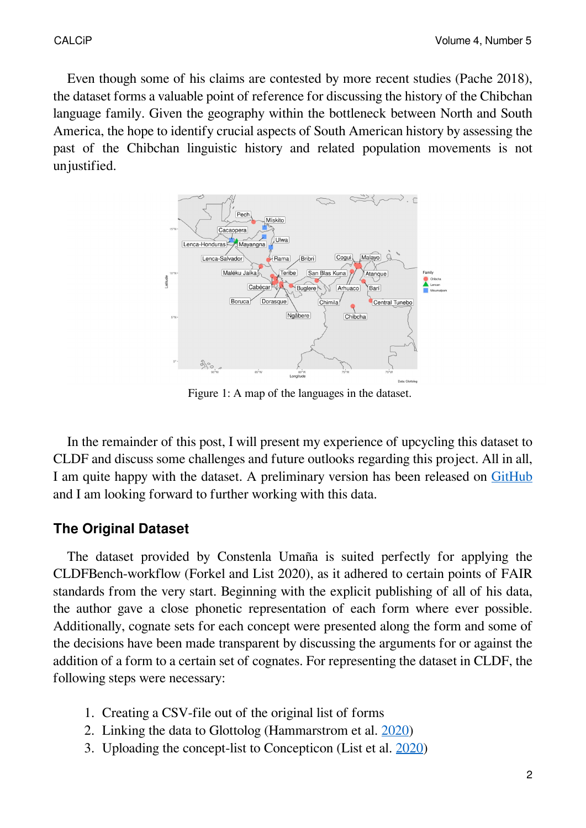Even though some of his claims are contested by more recent studies (Pache 2018), the dataset forms a valuable point of reference for discussing the history of the Chibchan language family. Given the geography within the bottleneck between North and South America, the hope to identify crucial aspects of South American history by assessing the past of the Chibchan linguistic history and related population movements is not unjustified.



Figure 1: A map of the languages in the dataset.

In the remainder of this post, I will present my experience of upcycling this dataset to CLDF and discuss some challenges and future outlooks regarding this project. All in all, I am quite happy with the dataset. A preliminary version has been released on [GitHub](https://github.com/lexibank/constenlachibchan/releases/tag/v0.2) and I am looking forward to further working with this data.

#### **The Original Dataset**

The dataset provided by Constenla Umaña is suited perfectly for applying the CLDFBench-workflow (Forkel and List 2020), as it adhered to certain points of FAIR standards from the very start. Beginning with the explicit publishing of all of his data, the author gave a close phonetic representation of each form where ever possible. Additionally, cognate sets for each concept were presented along the form and some of the decisions have been made transparent by discussing the arguments for or against the addition of a form to a certain set of cognates. For representing the dataset in CLDF, the following steps were necessary:

- 1. Creating a CSV-file out of the original list of forms
- 2. Linking the data to Glottolog (Hammarström et al.  $2020$ )
- 3. Uploading the concept-list to Concepticon (List et al. [2020](https://concepticon.clld.org/))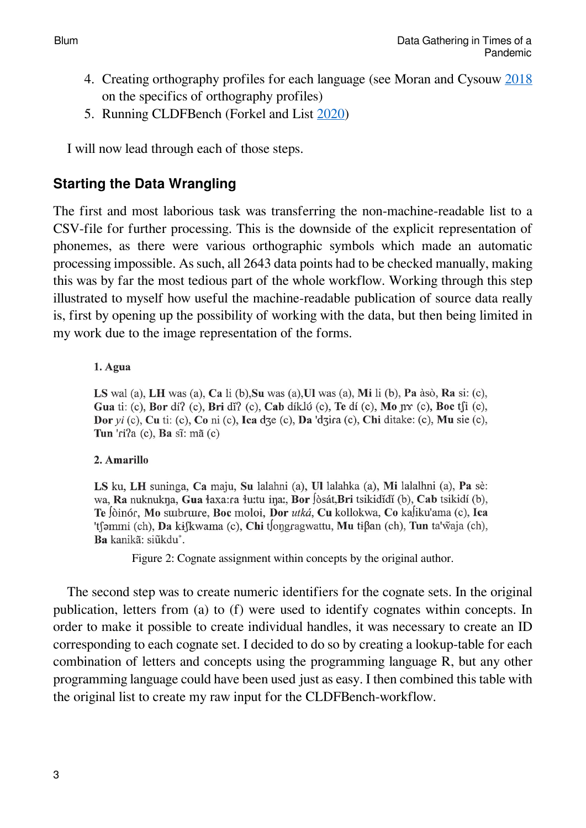- 4. Creating orthography profiles for each language (see Moran and Cysouw [2018](http://langsci-press.org/catalog/book/176) on the specifics of orthography profiles)
- 5. Running CLDFBench (Forkel and List [2020](https://github.com/cldf/cldfbench))

I will now lead through each of those steps.

## **Starting the Data Wrangling**

The first and most laborious task was transferring the non-machine-readable list to a CSV-file for further processing. This is the downside of the explicit representation of phonemes, as there were various orthographic symbols which made an automatic processing impossible. As such, all 2643 data points had to be checked manually, making this was by far the most tedious part of the whole workflow. Working through this step illustrated to myself how useful the machine-readable publication of source data really is, first by opening up the possibility of working with the data, but then being limited in my work due to the image representation of the forms.

#### 1. Agua

LS wal (a), LH was (a), Ca li (b), Su was (a), Ul was (a), Mi li (b), Pa àsò, Ra si: (c), Gua ti: (c), Bor dí? (c), Bri dí? (c), Cab díklú (c), Te dí (c), Mo nv (c), Boc t∫i (c), Dor yi (c), Cu ti: (c), Co ni (c), Ica dze (c), Da 'dzira (c), Chi ditake: (c), Mu sie (c), Tun 'ri?a  $(c)$ , Ba sĩ: mã  $(c)$ 

#### 2. Amarillo

LS ku, LH suninga, Ca maju, Su lalahni (a), Ul lalahka (a), Mi lalalhni (a), Pa sè: wa, Ra nuknukna, Gua łaxa:ra łu:tu ina:, Bor Jòsát, Bri tsikididi (b), Cab tsikidi (b), Te Jòinór, Mo surbrure, Boc moloi, Dor utká, Cu kollokwa, Co ka liku'ama (c), Ica 'tsəmmi (ch), Da kiskwama (c), Chi tsongragwattu, Mu ti $\beta$ an (ch), Tun ta'waja (ch), Ba kanikã: siũkdu°.

Figure 2: Cognate assignment within concepts by the original author.

The second step was to create numeric identifiers for the cognate sets. In the original publication, letters from (a) to (f) were used to identify cognates within concepts. In order to make it possible to create individual handles, it was necessary to create an ID corresponding to each cognate set. I decided to do so by creating a lookup-table for each combination of letters and concepts using the programming language R, but any other programming language could have been used just as easy. I then combined this table with the original list to create my raw input for the CLDFBench-workflow.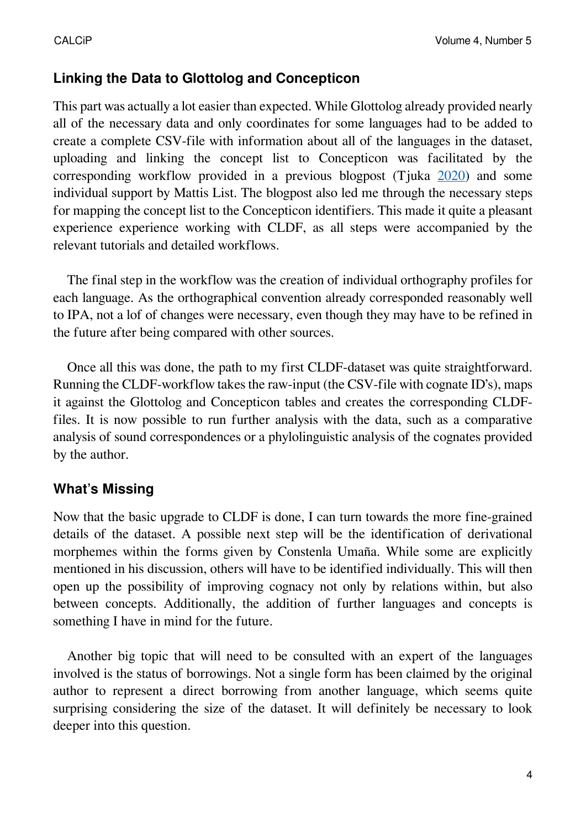## **Linking the Data to Glottolog and Concepticon**

This part was actually a lot easier than expected. While Glottolog already provided nearly all of the necessary data and only coordinates for some languages had to be added to create a complete CSV-file with information about all of the languages in the dataset, uploading and linking the concept list to Concepticon was facilitated by the corresponding workflow provided in a previous blogpost (Tjuka [2020\)](https://calc.hypotheses.org/2225) and some individual support by Mattis List. The blogpost also led me through the necessary steps for mapping the concept list to the Concepticon identifiers. This made it quite a pleasant experience experience working with CLDF, as all steps were accompanied by the relevant tutorials and detailed workflows.

The final step in the workflow was the creation of individual orthography profiles for each language. As the orthographical convention already corresponded reasonably well to IPA, not a lof of changes were necessary, even though they may have to be refined in the future after being compared with other sources.

Once all this was done, the path to my first CLDF-dataset was quite straightforward. Running the CLDF-workflow takes the raw-input (the CSV-file with cognate ID's), maps it against the Glottolog and Concepticon tables and creates the corresponding CLDFfiles. It is now possible to run further analysis with the data, such as a comparative analysis of sound correspondences or a phylolinguistic analysis of the cognates provided by the author.

### **What's Missing**

Now that the basic upgrade to CLDF is done, I can turn towards the more fine-grained details of the dataset. A possible next step will be the identification of derivational morphemes within the forms given by Constenla Umaña. While some are explicitly mentioned in his discussion, others will have to be identified individually. This will then open up the possibility of improving cognacy not only by relations within, but also between concepts. Additionally, the addition of further languages and concepts is something I have in mind for the future.

Another big topic that will need to be consulted with an expert of the languages involved is the status of borrowings. Not a single form has been claimed by the original author to represent a direct borrowing from another language, which seems quite surprising considering the size of the dataset. It will definitely be necessary to look deeper into this question.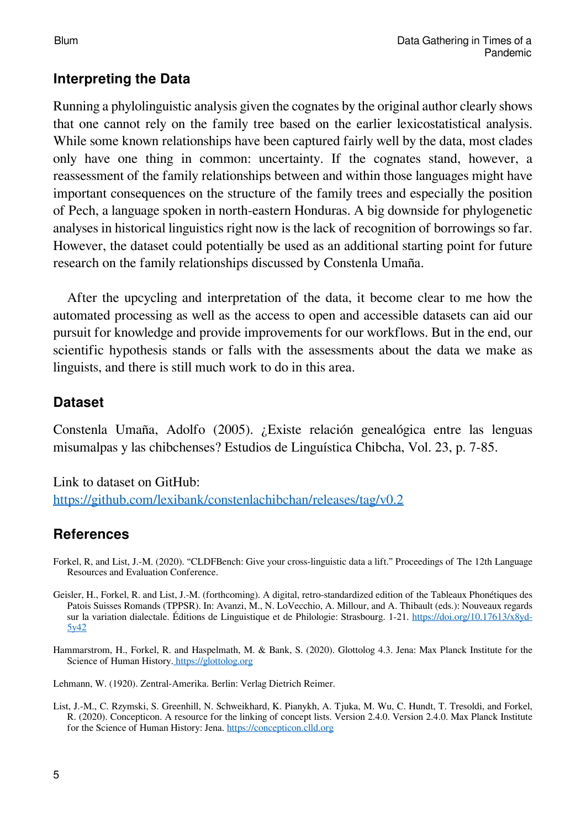## **Interpreting the Data**

Running a phylolinguistic analysis given the cognates by the original author clearly shows that one cannot rely on the family tree based on the earlier lexicostatistical analysis. While some known relationships have been captured fairly well by the data, most clades only have one thing in common: uncertainty. If the cognates stand, however, a reassessment of the family relationships between and within those languages might have important consequences on the structure of the family trees and especially the position of Pech, a language spoken in north-eastern Honduras. A big downside for phylogenetic analyses in historical linguistics right now is the lack of recognition of borrowings so far. However, the dataset could potentially be used as an additional starting point for future research on the family relationships discussed by Constenla Umaña.

After the upcycling and interpretation of the data, it become clear to me how the automated processing as well as the access to open and accessible datasets can aid our pursuit for knowledge and provide improvements for our workflows. But in the end, our scientific hypothesis stands or falls with the assessments about the data we make as linguists, and there is still much work to do in this area.

#### **Dataset**

Constenla Umaña, Adolfo (2005). ¿Existe relación genealógica entre las lenguas misumalpas y las chibchenses? Estudios de Lingüística Chibcha, Vol. 23, p. 7-85.

Link to dataset on GitHub: <https://github.com/lexibank/constenlachibchan/releases/tag/v0.2>

# **References**

- Forkel, R, and List, J.-M. (2020). "CLDFBench: Give your cross-linguistic data a lift." Proceedings of The 12th Language Resources and Evaluation Conference.
- Geisler, H., Forkel, R. and List, J.-M. (forthcoming). A digital, retro-standardized edition of the Tableaux Phonétiques des Patois Suisses Romands (TPPSR). In: Avanzi, M., N. LoVecchio, A. Millour, and A. Thibault (eds.): Nouveaux regards sur la variation dialectale. Éditions de Linguistique et de Philologie: Strasbourg. 1-21. [https://doi.org/10.17613/x8yd-](https://doi.org/10.17613/x8yd-5y42)[5y42](https://doi.org/10.17613/x8yd-5y42)
- Hammarstrom, H., Forkel, R. and Haspelmath, M. & Bank, S. (2020). Glottolog 4.3. Jena: Max Planck Institute for the Science of Human History. <https://glottolog.org>
- Lehmann, W. (1920). Zentral-Amerika. Berlin: Verlag Dietrich Reimer.
- List, J.-M., C. Rzymski, S. Greenhill, N. Schweikhard, K. Pianykh, A. Tjuka, M. Wu, C. Hundt, T. Tresoldi, and Forkel, R. (2020). Concepticon. A resource for the linking of concept lists. Version 2.4.0. Version 2.4.0. Max Planck Institute for the Science of Human History: Jena. <https://concepticon.clld.org>